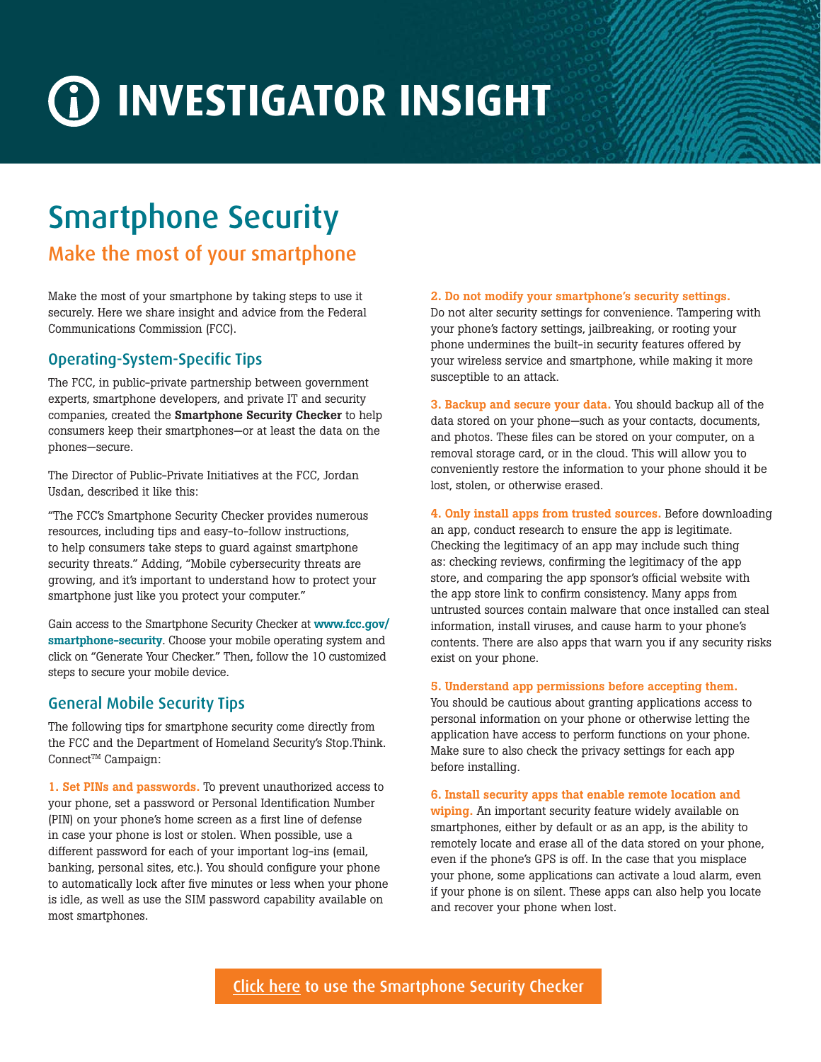## **INVESTIGATOR INSIGHT**

# **Smartphone Security**<br>Make the most of your smartphone

## $\mathcal{M}$  the most of  $\mathcal{M}$

Make the most of your smartphone by taking steps to use it securely. Here we share insight and advice from the Federal Communications Commission (FCC).

Operating-System-Specific Tips The FCC, in public-private partnership between government experts, smartphone developers, and private IT and security companies, created the Smartphone Security Checker to help consumers keep their smartphones—or at least the data on the phones—secure.

The Director of Public-Private Initiatives at the FCC, Jordan Usdan, described it like this:

"The FCC's Smartphone Security Checker provides numerous resources, including tips and easy-to-follow instructions, to help consumers take steps to guard against smartphone security threats." Adding, "Mobile cybersecurity threats are growing, and it's important to understand how to protect your smartphone just like you protect your computer."

Gain access to the Smartphone Security Checker at www.fcc.gov/ smartphone-security. Choose your mobile operating system and click on "Generate Your Checker." Then, follow the 10 customized steps to secure your mobile device.

The following tips for smartphone security come directly from the FCC and the Department of Homeland Security's Stop.Think. Connect<sup>™</sup> Campaign:

1. Set PINs and passwords. To prevent unauthorized access to your phone, set a password or Personal Identification Number (PIN) on your phone's home screen as a first line of defense in case your phone is lost or stolen. When possible, use a different password for each of your important log-ins (email, banking, personal sites, etc.). You should configure your phone to automatically lock after five minutes or less when your phone is idle, as well as use the SIM password capability available on most smartphones.

## 2. Do not modify your smartphone's security settings.

Do not alter security settings for convenience. Tampering with your phone's factory settings, jailbreaking, or rooting your phone undermines the built-in security features offered by your wireless service and smartphone, while making it more susceptible to an attack.

3. Backup and secure your data. You should backup all of the data stored on your phone—such as your contacts, documents, and photos. These files can be stored on your computer, on a removal storage card, or in the cloud. This will allow you to conveniently restore the information to your phone should it be lost, stolen, or otherwise erased.

4. Only install apps from trusted sources. Before downloading an app, conduct research to ensure the app is legitimate. Checking the legitimacy of an app may include such thing as: checking reviews, confirming the legitimacy of the app store, and comparing the app sponsor's official website with the app store link to confirm consistency. Many apps from untrusted sources contain malware that once installed can steal information, install viruses, and cause harm to your phone's contents. There are also apps that warn you if any security risks exist on your phone.

## 5. Understand app permissions before accepting them.

You should be cautious about granting applications access to personal information on your phone or otherwise letting the application have access to perform functions on your phone. Make sure to also check the privacy settings for each app before installing.

## 6. Install security apps that enable remote location and

wiping. An important security feature widely available on smartphones, either by default or as an app, is the ability to remotely locate and erase all of the data stored on your phone, even if the phone's GPS is off. In the case that you misplace your phone, some applications can activate a loud alarm, even if your phone is on silent. These apps can also help you locate and recover your phone when lost.

Click here to use the Smartphone Security Checker